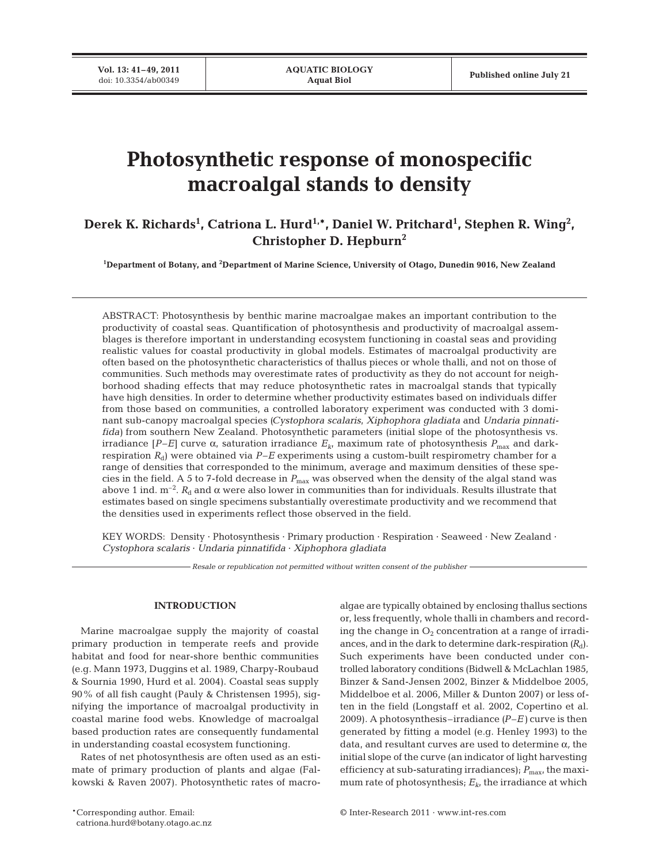**Vol. 13: 41–49, 2011**

# **Photosynthetic response of monospecific macroalgal stands to density**

Derek K. Richards<sup>1</sup>, Catriona L. Hurd<sup>1,\*</sup>, Daniel W. Pritchard<sup>1</sup>, Stephen R. Wing<sup>2</sup>, **Christopher D. Hepburn2**

**1 Department of Botany, and 2 Department of Marine Science, University of Otago, Dunedin 9016, New Zealand**

ABSTRACT: Photosynthesis by benthic marine macroalgae makes an important contribution to the productivity of coastal seas. Quantification of photosynthesis and productivity of macroalgal assemblages is therefore important in understanding ecosystem functioning in coastal seas and providing realistic values for coastal productivity in global models. Estimates of macroalgal productivity are often based on the photosynthetic characteristics of thallus pieces or whole thalli, and not on those of communities. Such methods may overestimate rates of productivity as they do not account for neighborhood shading effects that may reduce photosynthetic rates in macroalgal stands that typically have high densities. In order to determine whether productivity estimates based on individuals differ from those based on communities, a controlled laboratory experiment was conducted with 3 dominant sub-canopy macroalgal species *(Cystophora scalaris*, *Xiphophora gladiata* and *Undaria pinnatifida)* from southern New Zealand. Photosynthetic parameters (initial slope of the photosynthesis vs. irradiance  $[P-E]$  curve α, saturation irradiance  $E_k$ , maximum rate of photosynthesis  $P_{\text{max}}$  and darkrespiration  $R_d$ ) were obtained via  $P-E$  experiments using a custom-built respirometry chamber for a range of densities that corresponded to the minimum, average and maximum densities of these species in the field. A 5 to 7-fold decrease in *P*max was observed when the density of the algal stand was above 1 ind. m<sup>-2</sup>.  $R_d$  and  $\alpha$  were also lower in communities than for individuals. Results illustrate that estimates based on single specimens substantially overestimate productivity and we recommend that the densities used in experiments reflect those observed in the field.

KEY WORDS: Density · Photosynthesis · Primary production · Respiration · Seaweed · New Zealand · *Cystophora scalaris* · *Undaria pinnatifida* · *Xiphophora gladiata*

*Resale or republication not permitted without written consent of the publisher*

# **INTRODUCTION**

Marine macroalgae supply the majority of coastal primary production in temperate reefs and provide habitat and food for near-shore benthic communities (e.g. Mann 1973, Duggins et al. 1989, Charpy-Roubaud & Sournia 1990, Hurd et al. 2004). Coastal seas supply 90% of all fish caught (Pauly & Christensen 1995), signifying the importance of macroalgal productivity in coastal marine food webs. Knowledge of macroalgal based production rates are consequently fundamental in understanding coastal ecosystem functioning.

Rates of net photosynthesis are often used as an estimate of primary production of plants and algae (Falkowski & Raven 2007). Photosynthetic rates of macroalgae are typically obtained by enclosing thallus sections or, less frequently, whole thalli in chambers and recording the change in  $O_2$  concentration at a range of irradiances, and in the dark to determine dark-respiration  $(R_d)$ . Such experiments have been conducted under controlled laboratory conditions (Bidwell & McLachlan 1985, Binzer & Sand-Jensen 2002, Binzer & Middelboe 2005, Middelboe et al. 2006, Miller & Dunton 2007) or less often in the field (Longstaff et al. 2002, Copertino et al. 2009). A photosynthesis–irradiance *(P–E)* curve is then generated by fitting a model (e.g. Henley 1993) to the data, and resultant curves are used to determine α*,* the initial slope of the curve (an indicator of light harvesting efficiency at sub-saturating irradiances);  $P_{\text{max}}$ , the maximum rate of photosynthesis;  $E_{k}$ , the irradiance at which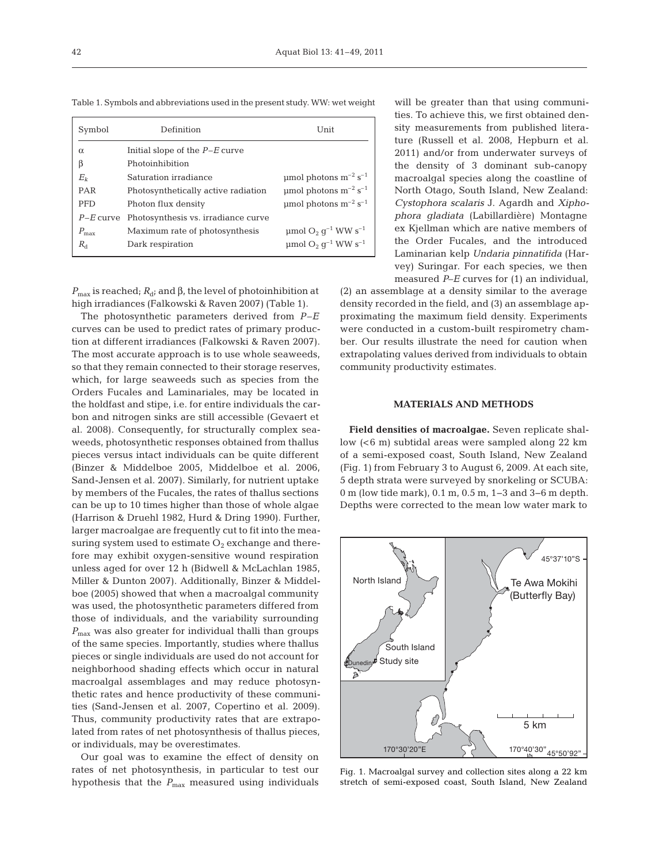| Symbol           | Definition<br>Unit                  |                                                             |
|------------------|-------------------------------------|-------------------------------------------------------------|
| $\alpha$         | Initial slope of the $P-E$ curve    |                                                             |
| β                | Photoinhibition                     |                                                             |
| $E_k$            | Saturation irradiance               | umol photons $m^{-2}$ s <sup>-1</sup>                       |
| PAR              | Photosynthetically active radiation | umol photons $m^{-2}$ s <sup>-1</sup>                       |
| <b>PFD</b>       | Photon flux density                 | $\mu$ mol photons m <sup>-2</sup> s <sup>-1</sup>           |
| $P-E$ curve      | Photosynthesis vs. irradiance curve |                                                             |
| $P_{\text{max}}$ | Maximum rate of photosynthesis      | $\mu$ mol O <sub>2</sub> g <sup>-1</sup> WW s <sup>-1</sup> |
| $R_{d}$          | Dark respiration                    | $\mu$ mol O <sub>2</sub> q <sup>-1</sup> WW s <sup>-1</sup> |
|                  |                                     |                                                             |

Table 1. Symbols and abbreviations used in the present study. WW: wet weight

 $P_{\text{max}}$  is reached;  $R_{\text{d}}$ ; and β, the level of photoinhibition at high irradiances (Falkowski & Raven 2007) (Table 1).

The photosynthetic parameters derived from *P–E* curves can be used to predict rates of primary production at different irradiances (Falkowski & Raven 2007). The most accurate approach is to use whole seaweeds, so that they remain connected to their storage reserves, which, for large seaweeds such as species from the Orders Fucales and Laminariales, may be located in the holdfast and stipe, i.e. for entire individuals the carbon and nitrogen sinks are still accessible (Gevaert et al. 2008). Consequently, for structurally complex seaweeds, photosynthetic responses obtained from thallus pieces versus intact individuals can be quite different (Binzer & Middelboe 2005, Middelboe et al. 2006, Sand-Jensen et al. 2007). Similarly, for nutrient uptake by members of the Fucales, the rates of thallus sections can be up to 10 times higher than those of whole algae (Harrison & Druehl 1982, Hurd & Dring 1990). Further, larger macroalgae are frequently cut to fit into the measuring system used to estimate  $O_2$  exchange and therefore may exhibit oxygen-sensitive wound respiration unless aged for over 12 h (Bidwell & McLachlan 1985, Miller & Dunton 2007). Additionally, Binzer & Middelboe (2005) showed that when a macroalgal community was used, the photosynthetic parameters differed from those of individuals, and the variability surrounding *P*max was also greater for individual thalli than groups of the same species. Importantly, studies where thallus pieces or single individuals are used do not account for neighborhood shading effects which occur in natural macroalgal assemblages and may reduce photosynthetic rates and hence productivity of these communities (Sand-Jensen et al. 2007, Copertino et al. 2009). Thus, community productivity rates that are extrapolated from rates of net photosynthesis of thallus pieces, or individuals, may be overestimates.

Our goal was to examine the effect of density on rates of net photosynthesis, in particular to test our hypothesis that the  $P_{\text{max}}$  measured using individuals

will be greater than that using communities. To achieve this, we first obtained density measurements from published literature (Russell et al. 2008, Hepburn et al. 2011) and/or from underwater surveys of the density of 3 dominant sub-canopy macroalgal species along the coastline of North Otago, South Island, New Zealand: *Cysto pho ra scalaris* J. Agardh and *Xipho phora gla di ata* (Labillardière) Montagne ex Kjellman which are native members of the Order Fucales, and the introduced Laminarian kelp *Undaria pinnatifida* (Harvey) Suringar. For each species, we then measured *P*–*E* curves for (1) an individual,

(2) an assemblage at a density similar to the average density recorded in the field, and (3) an assemblage ap proximating the maximum field density. Experiments were conducted in a custom-built respirometry chamber. Our results illustrate the need for caution when extrapolating values derived from individuals to obtain community productivity estimates.

## **MATERIALS AND METHODS**

**Field densities of macroalgae.** Seven replicate shallow (<6 m) subtidal areas were sampled along 22 km of a semi-exposed coast, South Island, New Zealand (Fig. 1) from February 3 to August 6, 2009. At each site, 5 depth strata were surveyed by snorkeling or SCUBA: 0 m (low tide mark), 0.1 m, 0.5 m, 1−3 and 3−6 m depth. Depths were corrected to the mean low water mark to

45°50'92" 170°30'20"E 170°40'30" 45°37'10"S Te Awa Mokihi (Butterfly Bay) 5 km South Island Study site North Island Dunedin

Fig. 1. Macroalgal survey and collection sites along a 22 km stretch of semi-exposed coast, South Island, New Zealand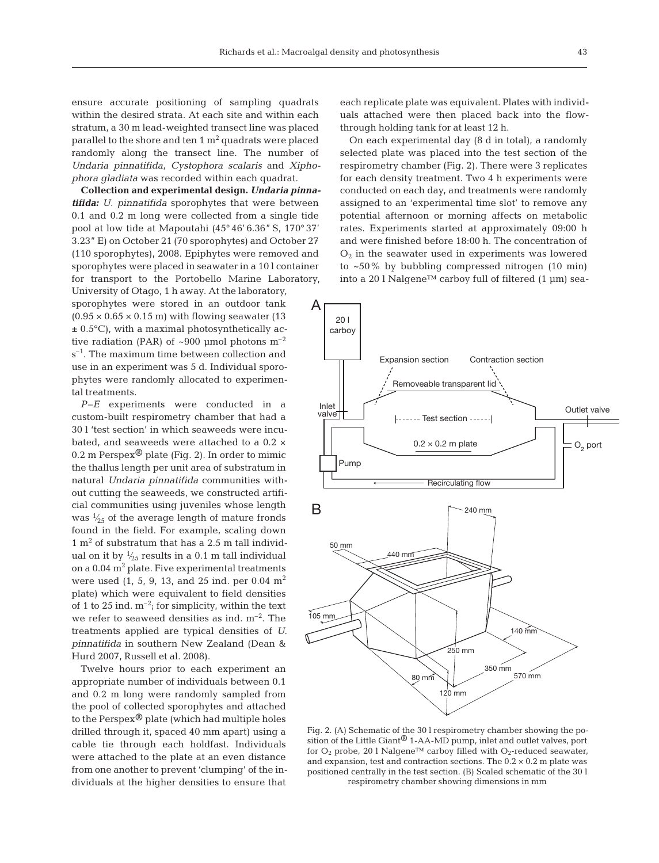ensure accurate positioning of sampling quadrats within the desired strata. At each site and within each stratum, a 30 m lead-weighted transect line was placed parallel to the shore and ten  $1 \text{ m}^2$  quadrats were placed randomly along the transect line. The number of *Undaria pinnatifida, Cystophora scalaris* and *Xiphophora gladiata* was recorded within each quadrat.

**Collection and experimental design.** *Un da ria pinna*  tifida: U. pinnatifida sporophytes that were between 0.1 and 0.2 m long were collected from a single tide pool at low tide at Mapoutahi (45°46' 6.36" S, 170° 37' 3.23" E) on October 21 (70 sporophytes) and October 27 (110 sporophytes), 2008. Epiphytes were removed and sporophytes were placed in seawater in a 10 l container for transport to the Portobello Marine Laboratory, University of Otago, 1 h away. At the laboratory, sporophytes were stored in an outdoor tank  $(0.95 \times 0.65 \times 0.15 \text{ m})$  with flowing seawater (13)  $\pm$  0.5 $^{\circ}$ C), with a maximal photosynthetically active radiation (PAR) of  $\sim 900$  µmol photons m<sup>-2</sup>

 $s^{-1}$ . The maximum time between collection and use in an experiment was 5 d. Individual sporophytes were randomly allocated to experimental treatments.

*P–E* experiments were conducted in a custom- built respirometry chamber that had a 30 l 'test section' in which seaweeds were incubated, and seaweeds were attached to a 0.2 × 0.2 m Perspex<sup>®</sup> plate (Fig. 2). In order to mimic the thallus length per unit area of substratum in natural *Undaria pinnatifida* communities without cutting the seaweeds, we constructed artificial communities using juveniles whose length was  $\frac{1}{25}$  of the average length of mature fronds found in the field. For example, scaling down  $1 \text{ m}^2$  of substratum that has a 2.5 m tall individual on it by  $\frac{1}{25}$  results in a 0.1 m tall individual on a  $0.04$  m<sup>2</sup> plate. Five experimental treatments were used  $(1, 5, 9, 13,$  and  $25$  ind. per  $0.04$  m<sup>2</sup> plate) which were equivalent to field densities of 1 to 25 ind.  $m^{-2}$ ; for simplicity, within the text we refer to seaweed densities as ind.  $m^{-2}$ . The treatments applied are typical densities of *U. pinnatifida* in southern New Zealand (Dean & Hurd 2007, Russell et al. 2008).

Twelve hours prior to each experiment an appropriate number of individuals between 0.1 and 0.2 m long were randomly sampled from the pool of collected sporophytes and attached to the Perspex $\mathcal{D}$  plate (which had multiple holes drilled through it, spaced 40 mm apart) using a cable tie through each holdfast. Individuals were attached to the plate at an even distance from one another to prevent 'clumping' of the individuals at the higher densities to ensure that

each replicate plate was equivalent. Plates with individuals attached were then placed back into the flowthrough holding tank for at least 12 h.

On each experimental day (8 d in total), a randomly selected plate was placed into the test section of the respirometry chamber (Fig. 2). There were 3 replicates for each density treatment. Two 4 h experiments were conducted on each day, and treatments were randomly assigned to an 'experimental time slot' to remove any potential afternoon or morning affects on metabolic rates. Experiments started at approximately 09:00 h and were finished before 18:00 h. The concentration of  $O<sub>2</sub>$  in the seawater used in experiments was lowered to ~50% by bubbling compressed nitrogen (10 min) into a 20 l Nalgene™ carboy full of filtered (1 µm) sea-



Fig. 2. (A) Schematic of the 30 l respirometry chamber showing the position of the Little Giant<sup> $\circledast$ </sup> 1-AA-MD pump, inlet and outlet valves, port for  $O_2$  probe, 20 l Nalgene<sup>™</sup> carboy filled with  $O_2$ -reduced seawater, and expansion, test and contraction sections. The  $0.2 \times 0.2$  m plate was positioned centrally in the test section. (B) Scaled schematic of the 30 l respirometry chamber showing dimensions in mm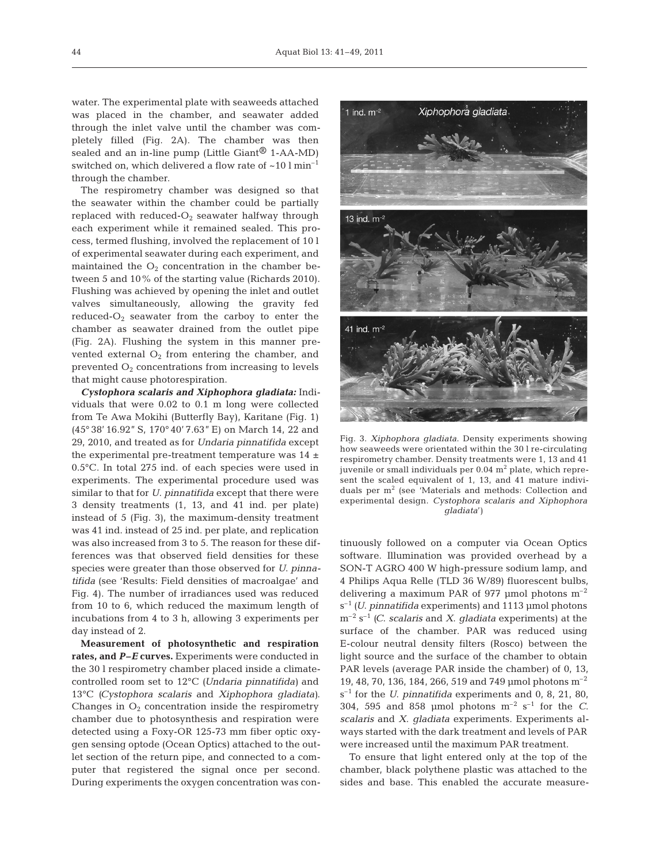water. The experimental plate with seaweeds attached was placed in the chamber, and seawater added through the inlet valve until the chamber was completely filled (Fig. 2A). The chamber was then sealed and an in-line pump (Little Giant $\mathcal{R}$  1-AA-MD) switched on, which delivered a flow rate of  $\sim 10 \text{ l min}^{-1}$ through the chamber.

The respirometry chamber was designed so that the seawater within the chamber could be partially replaced with reduced- $O_2$  seawater halfway through each experiment while it remained sealed. This process, termed flushing, involved the replacement of 10 l of experimental seawater during each experiment, and maintained the  $O_2$  concentration in the chamber between 5 and 10% of the starting value (Richards 2010). Flushing was achieved by opening the inlet and outlet valves simultaneously, allowing the gravity fed reduced- $O_2$  seawater from the carboy to enter the chamber as seawater drained from the outlet pipe (Fig. 2A). Flushing the system in this manner prevented external  $O_2$  from entering the chamber, and prevented  $O_2$  concentrations from increasing to levels that might cause photorespiration.

*Cystophora scalaris and Xiphophora gladiata:* Individuals that were 0.02 to 0.1 m long were collected from Te Awa Mokihi (Butterfly Bay), Karitane (Fig. 1) (45° 38' 16.92" S, 170° 40' 7.63" E) on March 14, 22 and 29, 2010, and treated as for *Undaria pinnatifida* except the experimental pre-treatment temperature was  $14 \pm$ 0.5°C. In total 275 ind. of each species were used in experiments. The experimental procedure used was similar to that for *U. pinnatifida* except that there were 3 density treatments (1, 13, and 41 ind. per plate) instead of 5 (Fig. 3), the maximum-density treatment was 41 ind. instead of 25 ind. per plate, and replication was also increased from 3 to 5. The reason for these differences was that observed field densities for these species were greater than those observed for *U*. *pinna ti fida* (see 'Results: Field densities of macroalgae' and Fig. 4). The number of irradiances used was reduced from 10 to 6, which reduced the maximum length of incubations from 4 to 3 h, allowing 3 experiments per day instead of 2.

**Measurement of photosynthetic and respiration rates, and** *P–E* **curves.** Experiments were conducted in the 30 l respirometry chamber placed inside a climatecontrolled room set to 12°C *(Undaria pinnatifida)* and 13°C *(Cystophora scalaris* and *Xiphophora gladiata)*. Changes in  $O_2$  concentration inside the respirometry chamber due to photosynthesis and respiration were detected using a Foxy-OR 125-73 mm fiber optic oxygen sensing optode (Ocean Optics) attached to the outlet section of the return pipe, and connected to a computer that registered the signal once per second. During experiments the oxygen concentration was con-



Fig. 3. *Xiphophora gladiata*. Density experiments showing how seaweeds were orientated within the 30 l re-circulating respirometry chamber. Density treatments were 1, 13 and 41 juvenile or small individuals per  $0.04$  m<sup>2</sup> plate, which represent the scaled equivalent of 1, 13, and 41 mature individuals per m<sup>2</sup> (see 'Materials and methods: Collection and experimental design. *Cystophora scalaris and Xiphophora gladiata*')

tinuously followed on a computer via Ocean Optics software. Illumination was provided overhead by a SON-T AGRO 400 W high-pressure sodium lamp, and 4 Philips Aqua Relle (TLD 36 W/89) fluorescent bulbs, delivering a maximum PAR of 977 µmol photons  $m^{-2}$ s–1 *(U*. *pinnatifida* experiments) and 1113 µmol photons m–2 s–1 *(C*. *scalaris* and *X*. *gladiata* experiments) at the surface of the chamber. PAR was reduced using E-colour neutral density filters (Rosco) between the light source and the surface of the chamber to obtain PAR levels (average PAR inside the chamber) of 0, 13, 19, 48, 70, 136, 184, 266, 519 and 749 µmol photons m–2 s<sup>-1</sup> for the *U. pinnatifida* experiments and 0, 8, 21, 80, 304, 595 and 858 µmol photons m–2 s–1 for the *C*. *scalaris* and *X*. *gladiata* experiments. Experiments always started with the dark treatment and levels of PAR were increased until the maximum PAR treatment.

To ensure that light entered only at the top of the chamber, black polythene plastic was attached to the sides and base. This enabled the accurate measure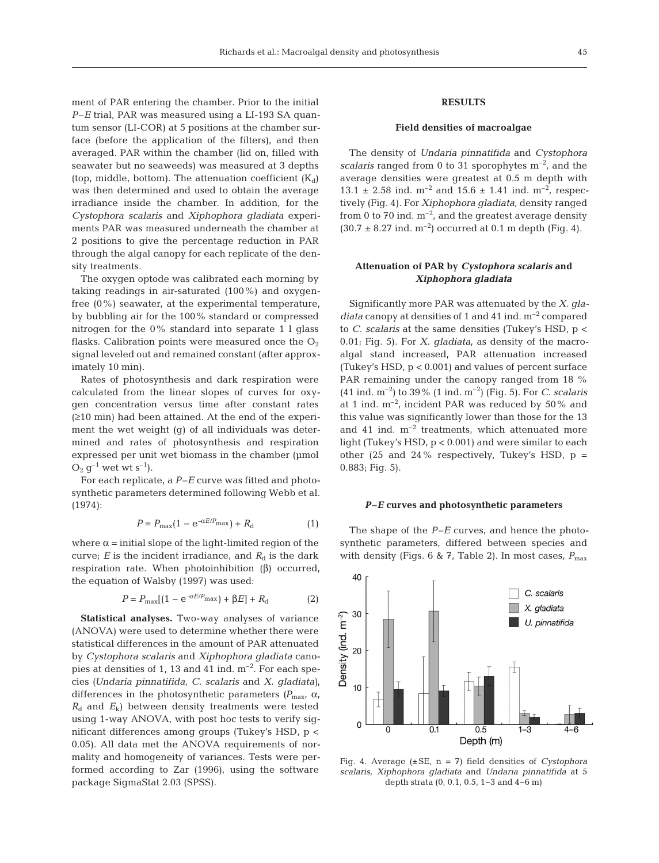ment of PAR entering the chamber. Prior to the initial *P–E* trial, PAR was measured using a LI-193 SA quantum sensor (LI-COR) at 5 positions at the chamber surface (before the application of the filters), and then averaged. PAR within the chamber (lid on, filled with seawater but no seaweeds) was measured at 3 depths (top, middle, bottom). The attenuation coefficient  $(K_d)$ was then determined and used to obtain the average irradiance inside the chamber. In addition, for the *Cysto phora scalaris* and *Xiphophora gladiata* experiments PAR was measured underneath the chamber at 2 positions to give the percentage reduction in PAR through the algal canopy for each replicate of the density treatments.

The oxygen optode was calibrated each morning by taking readings in air-saturated (100%) and oxygenfree (0%) seawater, at the experimental temperature, by bubbling air for the 100% standard or compressed nitrogen for the 0% standard into separate 1 l glass flasks. Calibration points were measured once the  $O<sub>2</sub>$ signal leveled out and remained constant (after approximately 10 min).

Rates of photosynthesis and dark respiration were calculated from the linear slopes of curves for oxygen concentration versus time after constant rates  $(≥10$  min) had been attained. At the end of the experiment the wet weight (g) of all individuals was determined and rates of photosynthesis and respiration expressed per unit wet biomass in the chamber (µmol  $O_2$  g<sup>-1</sup> wet wt s<sup>-1</sup>).

For each replicate, a *P–E* curve was fitted and photosynthetic parameters determined following Webb et al. (1974):

$$
P = P_{\text{max}}(1 - e^{-\alpha E/P_{\text{max}}}) + R_{\text{d}} \tag{1}
$$

where  $\alpha$  = initial slope of the light-limited region of the curve;  $E$  is the incident irradiance, and  $R_d$  is the dark respiration rate. When photoinhibition  $(β)$  occurred, the equation of Walsby (1997) was used:

$$
P = P_{\text{max}}[(1 - e^{-\alpha E/P_{\text{max}}}) + \beta E] + R_{\text{d}} \tag{2}
$$

**Statistical analyses.** Two-way analyses of variance (ANOVA) were used to determine whether there were statistical differences in the amount of PAR attenuated by *Cystophora scalaris* and *Xiphophora gladiata* cano pies at densities of 1, 13 and 41 ind.  $m^{-2}$ . For each species *(Undaria pinnatifida*, *C*. *scalaris* and *X*. *gladiata)*, differences in the photosynthetic parameters  $(P_{\text{max}}, \alpha,$  $R_{d}$  and  $E_{k}$ ) between density treatments were tested using 1-way ANOVA, with post hoc tests to verify significant differences among groups (Tukey's HSD, p < 0.05). All data met the ANOVA requirements of normality and homogeneity of variances. Tests were performed according to Zar (1996), using the software package SigmaStat 2.03 (SPSS).

# **RESULTS**

#### **Field densities of macroalgae**

The density of *Undaria pinnatifida* and *Cystophora scalaris* ranged from 0 to 31 sporophytes m–2, and the average densities were greatest at 0.5 m depth with 13.1  $\pm$  2.58 ind. m<sup>-2</sup> and 15.6  $\pm$  1.41 ind. m<sup>-2</sup>, respectively (Fig. 4). For *Xiphophora gladiata*, density ranged from 0 to 70 ind.  $m^{-2}$ , and the greatest average density  $(30.7 \pm 8.27 \text{ ind. m}^{-2})$  occurred at 0.1 m depth (Fig. 4).

## **Attenuation of PAR by** *Cystophora scalaris* **and** *Xiphophora gladiata*

Significantly more PAR was attenuated by the *X*. *gla diata* canopy at densities of 1 and 41 ind. m–2 compared to *C*. *scalaris* at the same densities (Tukey's HSD, p < 0.01; Fig. 5). For *X*. *gladiata*, as density of the macroalgal stand increased, PAR attenuation increased (Tukey's HSD, p < 0.001) and values of percent surface PAR remaining under the canopy ranged from 18 % (41 ind. m–2) to 39% (1 ind. m–2) (Fig. 5). For *C*. *scalaris* at 1 ind.  $m^{-2}$ , incident PAR was reduced by 50% and this value was significantly lower than those for the 13 and 41 ind.  $m^{-2}$  treatments, which attenuated more light (Tukey's HSD, p < 0.001) and were similar to each other (25 and 24% respectively, Tukey's HSD,  $p =$ 0.883; Fig. 5).

### *P–E* **curves and photosynthetic parameters**

The shape of the *P–E* curves, and hence the photosynthetic parameters, differed between species and with density (Figs. 6 & 7, Table 2). In most cases,  $P_{\text{max}}$ 



Fig. 4. Average (±SE, n = 7) field densities of *Cystophora scalaris*, *Xipho phora gladiata* and *Undaria pinnatifida* at 5 depth strata (0, 0.1, 0.5, 1−3 and 4−6 m)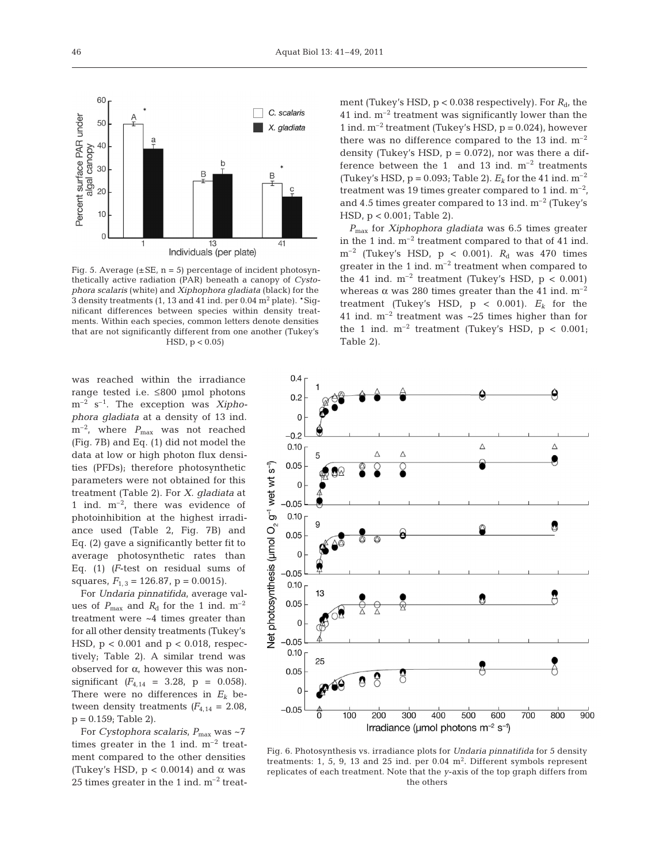

Fig. 5. Average  $(\pm SE, n = 5)$  percentage of incident photosynthetically active radiation (PAR) beneath a canopy of *Cysto pho ra scalaris* (white) and *Xiphophora gladiata* (black) for the 3 density treatments (1, 13 and 41 ind. per  $0.04$  m<sup>2</sup> plate). \*Significant differences between species within density treatments. Within each species, common letters denote densities that are not significantly different from one another (Tukey's  $HSD, p < 0.05$ 

was reached within the irradiance range tested i.e. ≤800 µmol photons m<sup>-2</sup> s<sup>-1</sup>. The exception was *Xiphophora gladiata* at a density of 13 ind. m<sup>-2</sup>, where  $P_{\text{max}}$  was not reached (Fig. 7B) and Eq. (1) did not model the data at low or high photon flux densities (PFDs); therefore photosynthetic parameters were not obtained for this treatment (Table 2). For *X. gladiata* at 1 ind.  $m^{-2}$ , there was evidence of photoinhibition at the highest irradiance used (Table 2, Fig. 7B) and Eq. (2) gave a significantly better fit to average photosynthetic rates than Eq. (1) *(F*-test on residual sums of squares,  $F_{1,3} = 126.87$ ,  $p = 0.0015$ ).

For *Undaria pinnatifida*, average values of  $P_{\text{max}}$  and  $R_{\text{d}}$  for the 1 ind. m<sup>-2</sup> treatment were ~4 times greater than for all other density treatments (Tukey's HSD,  $p < 0.001$  and  $p < 0.018$ , respectively; Table 2). A similar trend was observed for  $\alpha$ , however this was nonsignificant  $(F_{4,14} = 3.28, p = 0.058)$ . There were no differences in  $E_k$  between density treatments  $(F_{4,14} = 2.08,$  $p = 0.159$ ; Table 2).

For *Cystophora scalaris*,  $P_{\text{max}}$  was ~7 times greater in the 1 ind.  $m^{-2}$  treatment compared to the other densities (Tukey's HSD,  $p < 0.0014$ ) and  $\alpha$  was 25 times greater in the 1 ind.  $m^{-2}$  treatment (Tukey's HSD,  $p < 0.038$  respectively). For  $R_d$ , the 41 ind.  $m^{-2}$  treatment was significantly lower than the 1 ind.  $m^{-2}$  treatment (Tukey's HSD,  $p = 0.024$ ), however there was no difference compared to the 13 ind.  $m^{-2}$ density (Tukey's HSD,  $p = 0.072$ ), nor was there a difference between the 1 and 13 ind.  $m^{-2}$  treatments (Tukey's HSD,  $p = 0.093$ ; Table 2).  $E_k$  for the 41 ind.  $m^{-2}$ treatment was 19 times greater compared to 1 ind.  $m^{-2}$ , and 4.5 times greater compared to 13 ind.  $m^{-2}$  (Tukey's HSD, p < 0.001; Table 2).

*P*max for *Xiphophora gladiata* was 6.5 times greater in the 1 ind.  $m^{-2}$  treatment compared to that of 41 ind.  $m^{-2}$  (Tukey's HSD,  $p < 0.001$ ).  $R_d$  was 470 times greater in the 1 ind. m–2 treatment when compared to the 41 ind.  $m^{-2}$  treatment (Tukey's HSD,  $p < 0.001$ ) whereas  $\alpha$  was 280 times greater than the 41 ind.  $m^{-2}$ treatment (Tukey's HSD,  $p < 0.001$ ).  $E_k$  for the 41 ind.  $m^{-2}$  treatment was  $\sim$  25 times higher than for the 1 ind.  $m^{-2}$  treatment (Tukey's HSD,  $p < 0.001$ ; Table 2).



Fig. 6. Photosynthesis vs. irradiance plots for *Undaria pinnatifida* for 5 density treatments: 1, 5, 9, 13 and 25 ind. per  $0.04$   $\mathrm{m}^2$ . Different symbols represent replicates of each treatment. Note that the *y*-axis of the top graph differs from the others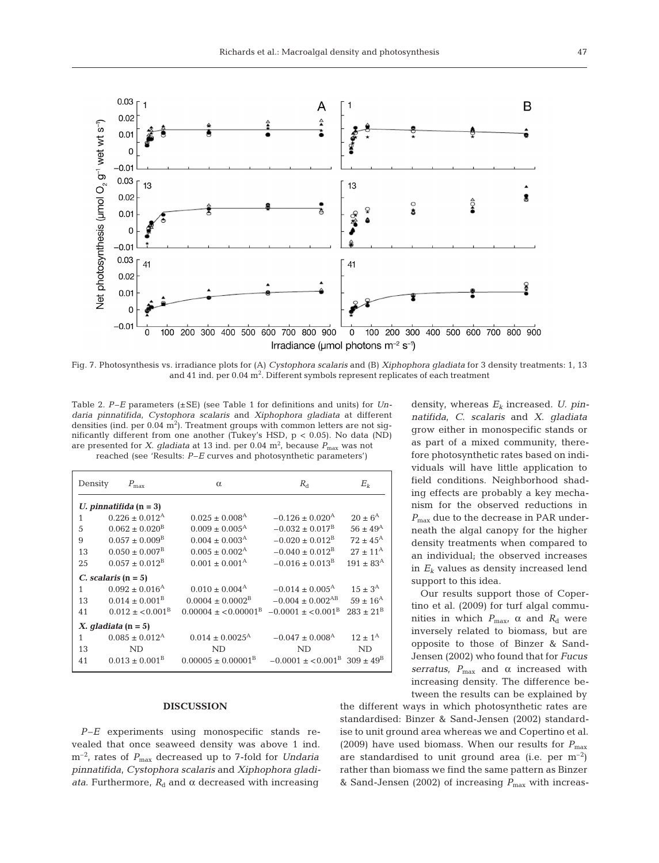

Fig. 7. Photosynthesis vs. irradiance plots for (A) *Cystophora scalaris* and (B) *Xiphophora gladiata* for 3 density treatments: 1, 13 and  $41$  ind. per  $0.04 \text{ m}^2$ . Different symbols represent replicates of each treatment

Table 2. *P–E* parameters (±SE) (see Table 1 for definitions and units) for *Unda ria pinnatifida*, *Cystophora scalaris* and *Xiphophora gladiata* at different densities (ind. per  $0.04 \text{ m}^2$ ). Treatment groups with common letters are not significantly different from one another (Tukey's HSD, p < 0.05). No data (ND) are presented for *X. gladiata* at 13 ind. per 0.04  $m^2$ , because  $P_{\text{max}}$  was not

reached (see 'Results: *P–E* curves and photosynthetic parameters')

| Density                  | $P_{\text{max}}$               | $\alpha$                         | $R_{\rm d}$                                      | $E_k$                |  |
|--------------------------|--------------------------------|----------------------------------|--------------------------------------------------|----------------------|--|
| U. pinnatifida $(n = 3)$ |                                |                                  |                                                  |                      |  |
| 1                        | $0.226 \pm 0.012^{\rm A}$      | $0.025 \pm 0.008$ <sup>A</sup>   | $-0.126 \pm 0.020$ <sup>A</sup>                  | $20 \pm 6^{\rm A}$   |  |
| 5                        | $0.062 \pm 0.020^8$            | $0.009 \pm 0.005^{\text{A}}$     | $-0.032 \pm 0.017^{\rm B}$                       | $56 \pm 49^{\rm A}$  |  |
| 9                        | $0.057 \pm 0.009^{\rm B}$      | $0.004 \pm 0.003^{\rm A}$        | $-0.020 \pm 0.012^{\rm B}$                       | $72 \pm 45^{\rm A}$  |  |
| 13                       | $0.050 \pm 0.007^{\rm B}$      | $0.005 \pm 0.002$ <sup>A</sup>   | $-0.040 \pm 0.012^{\rm B}$                       | $27 + 11^{\rm A}$    |  |
| 25                       | $0.057 \pm 0.012^{\rm B}$      | $0.001 + 0.001A$                 | $-0.016 + 0.013^{\text{B}}$                      | $191 \pm 83^{\rm A}$ |  |
| C. scalaris $(n = 5)$    |                                |                                  |                                                  |                      |  |
| 1                        | $0.092 \pm 0.016^{\rm A}$      | $0.010 \pm 0.004^{\rm A}$        | $-0.014 \pm 0.005$ <sup>A</sup>                  | $15 \pm 3^{A}$       |  |
| 13                       | $0.014 \pm 0.001^{\rm B}$      | $0.0004 \pm 0.0002^{\rm B}$      | $-0.004 \pm 0.002$ <sup>AB</sup>                 | $59 \pm 16^{\rm A}$  |  |
| 41                       | $0.012 \pm 0.001^{\rm B}$      | $0.00004 + 0.00001^{\text{B}}$   | $-0.0001 + 0.001B$                               | $283 + 21^{\rm B}$   |  |
| X. gladiata $(n = 5)$    |                                |                                  |                                                  |                      |  |
| 1                        | $0.085 \pm 0.012$ <sup>A</sup> | $0.014 \pm 0.0025^{\text{A}}$    | $-0.047 \pm 0.008$ <sup>A</sup>                  | $12 + 1^{\rm A}$     |  |
| 13                       | ND.                            | ND.                              | ND.                                              | ND                   |  |
| 41                       | $0.013 \pm 0.001^{\rm B}$      | $0.00005 \pm 0.00001^{\text{B}}$ | $-0.0001 \pm 0.001^{\rm B}$ 309 $\pm 49^{\rm B}$ |                      |  |

#### **DISCUSSION**

*P-E* experiments using monospecific stands revealed that once seaweed density was above 1 ind. m<sup>-2</sup>, rates of  $P_{\text{max}}$  decreased up to 7-fold for *Undaria pinnatifida*, *Cystophora scalaris* and *Xiphophora gladiata*. Furthermore,  $R_d$  and  $\alpha$  decreased with increasing

density, whereas *Ek* increased. *U. pinnatifida*, *C*. *sca laris* and *X*. *gladiata* grow either in monospecific stands or as part of a mixed community, therefore photosynthetic rates based on individuals will have little application to field conditions. Neighborhood shading effects are probably a key mechanism for the observed reductions in *P*<sub>max</sub> due to the decrease in PAR underneath the algal canopy for the higher density treatments when compared to an individual; the observed increases in *Ek* values as density increased lend support to this idea.

Our results support those of Copertino et al. (2009) for turf algal communities in which  $P_{\text{max}}$ ,  $\alpha$  and  $R_{\text{d}}$  were inversely related to biomass, but are opposite to those of Binzer & Sand-Jensen (2002) who found that for *Fucus serratus*,  $P_{\text{max}}$  and  $\alpha$  increased with increasing density. The difference be tween the results can be explained by

the different ways in which photosynthetic rates are standardised: Binzer & Sand-Jensen (2002) standardise to unit ground area whereas we and Copertino et al. (2009) have used biomass. When our results for  $P_{\text{max}}$ are standardised to unit ground area (i.e. per  $m^{-2}$ ) rather than biomass we find the same pattern as Binzer & Sand-Jensen (2002) of increasing *P*max with increas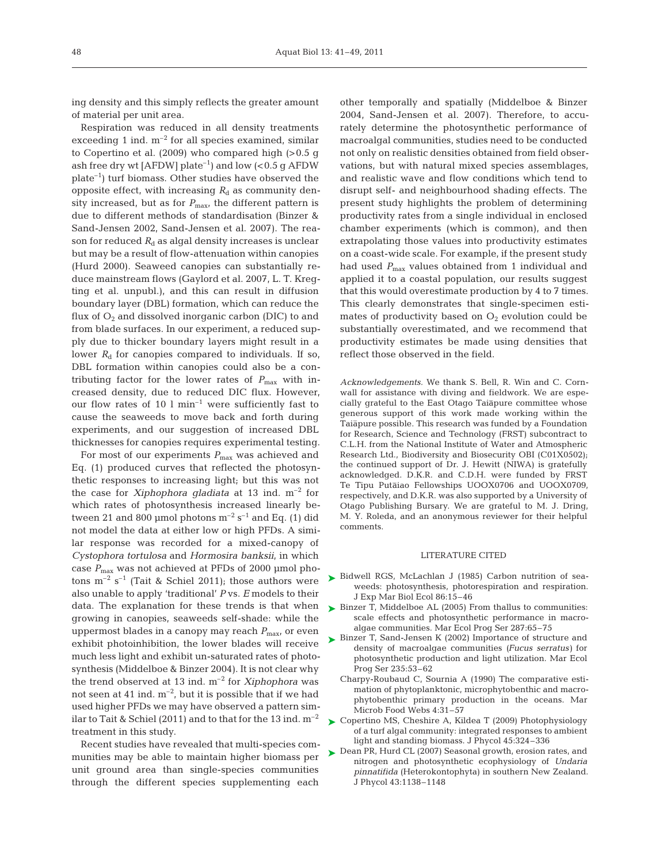ing density and this simply reflects the greater amount of material per unit area.

Respiration was reduced in all density treatments exceeding 1 ind.  $m^{-2}$  for all species examined, similar to Copertino et al. (2009) who compared high (>0.5 g ash free dry wt [AFDW] plate<sup>-1</sup>] and low  $(< 0.5$  g AFDW plate–1) turf biomass. Other studies have observed the opposite effect, with increasing  $R_d$  as community density increased, but as for  $P_{\text{max}}$ , the different pattern is due to different methods of standardisation (Binzer & Sand-Jensen 2002, Sand-Jensen et al. 2007). The reason for reduced  $R_d$  as algal density increases is unclear but may be a result of flow-attenuation within canopies (Hurd 2000). Seaweed canopies can substantially re duce mainstream flows (Gaylord et al. 2007, L. T. Kregting et al. unpubl.), and this can result in diffusion boundary layer (DBL) formation, which can reduce the flux of  $O_2$  and dissolved inorganic carbon (DIC) to and from blade surfaces. In our experiment, a reduced supply due to thicker boundary layers might result in a lower  $R_d$  for canopies compared to individuals. If so, DBL formation within canopies could also be a contributing factor for the lower rates of  $P_{\text{max}}$  with increased density, due to reduced DIC flux. However, our flow rates of 10  $l$  min<sup>-1</sup> were sufficiently fast to cause the seaweeds to move back and forth during experiments, and our suggestion of increased DBL thicknesses for canopies requires experimental testing.

For most of our experiments  $P_{\text{max}}$  was achieved and Eq. (1) produced curves that reflected the photosynthetic responses to increasing light; but this was not the case for *Xiphophora gladiata* at 13 ind. m–2 for which rates of photosynthesis increased linearly be tween 21 and 800 µmol photons  $m^{-2}$  s<sup>-1</sup> and Eq. (1) did not model the data at either low or high PFDs. A similar response was recorded for a mixed-canopy of *Cysto phora tortulosa* and *Hormosira banksii*, in which case  $P_{\text{max}}$  was not achieved at PFDs of 2000 µmol photons  $m^{-2}$  s<sup>-1</sup> (Tait & Schiel 2011); those authors were also unable to apply 'traditional' *P* vs. *E* models to their data. The explanation for these trends is that when growing in canopies, seaweeds self-shade: while the uppermost blades in a canopy may reach  $P_{\text{max}}$ , or even exhibit photoinhibition, the lower blades will receive much less light and exhibit un-saturated rates of photosynthesis (Middelboe & Binzer 2004). It is not clear why the trend observed at 13 ind.  $m^{-2}$  for *Xiphophora* was not seen at 41 ind.  $m^{-2}$ , but it is possible that if we had used higher PFDs we may have observed a pattern similar to Tait & Schiel (2011) and to that for the 13 ind.  $m^{-2}$ treatment in this study.

Recent studies have revealed that multi-species communities may be able to maintain higher biomass per unit ground area than single-species communities through the different species supplementing each

other temporally and spatially (Middelboe & Binzer 2004, Sand-Jensen et al. 2007). Therefore, to accurately determine the photosynthetic performance of macroalgal communities, studies need to be conducted not only on realistic densities obtained from field observations, but with natural mixed species assemblages, and realistic wave and flow conditions which tend to disrupt self- and neighbourhood shading effects. The present study highlights the problem of determining productivity rates from a single individual in enclosed chamber experiments (which is common), and then extrapolating those values into productivity estimates on a coast-wide scale. For example, if the present study had used  $P_{\text{max}}$  values obtained from 1 individual and applied it to a coastal population, our results suggest that this would overestimate production by 4 to 7 times. This clearly demonstrates that single-specimen estimates of productivity based on  $O_2$  evolution could be substantially overestimated, and we recommend that productivity estimates be made using densities that reflect those observed in the field.

*Acknowledgements.* We thank S. Bell, R. Win and C. Cornwall for assistance with diving and fieldwork. We are especially grateful to the East Otago Taiapure committee whose generous support of this work made working within the Taiapure possible. This research was funded by a Foundation for Research, Science and Technology (FRST) subcontract to C.L.H. from the National Institute of Water and Atmospheric Research Ltd., Biodiversity and Biosecurity OBI (C01X0502); the continued support of Dr. J. Hewitt (NIWA) is gratefully acknowledged. D.K.R. and C.D.H. were funded by FRST Te Tipu Putāiao Fellowships UOOX0706 and UOOX0709, respectively, and D.K.R. was also supported by a University of Otago Publishing Bursary. We are grateful to M. J. Dring, M. Y. Roleda, and an anonymous reviewer for their helpful comments.

#### LITERATURE CITED

- ▶ Bidwell RGS, McLachlan J (1985) Carbon nutrition of seaweeds: photosynthesis, photorespiration and respiration. J Exp Mar Biol Ecol 86:15–46
- ► Binzer T, Middelboe AL (2005) From thallus to communities: scale effects and photosynthetic performance in macroalgae communities. Mar Ecol Prog Ser 287:65–75
- ► Binzer T, Sand-Jensen K (2002) Importance of structure and density of macroalgae communities *(Fucus serratus)* for photosynthetic production and light utilization. Mar Ecol Prog Ser 235:53–62
	- Charpy-Roubaud C, Sournia A (1990) The comparative estimation of phytoplanktonic, microphytobenthic and macrophytobenthic primary production in the oceans. Mar Microb Food Webs 4:31–57
- ► Copertino MS, Cheshire A, Kildea T (2009) Photophysiology of a turf algal community: integrated responses to ambient light and standing biomass. J Phycol 45:324–336
- ▶ Dean PR, Hurd CL (2007) Seasonal growth, erosion rates, and nitrogen and photosynthetic ecophysiology of *Undaria pinnatifida* (Heterokontophyta) in southern New Zealand. J Phycol 43:1138–1148